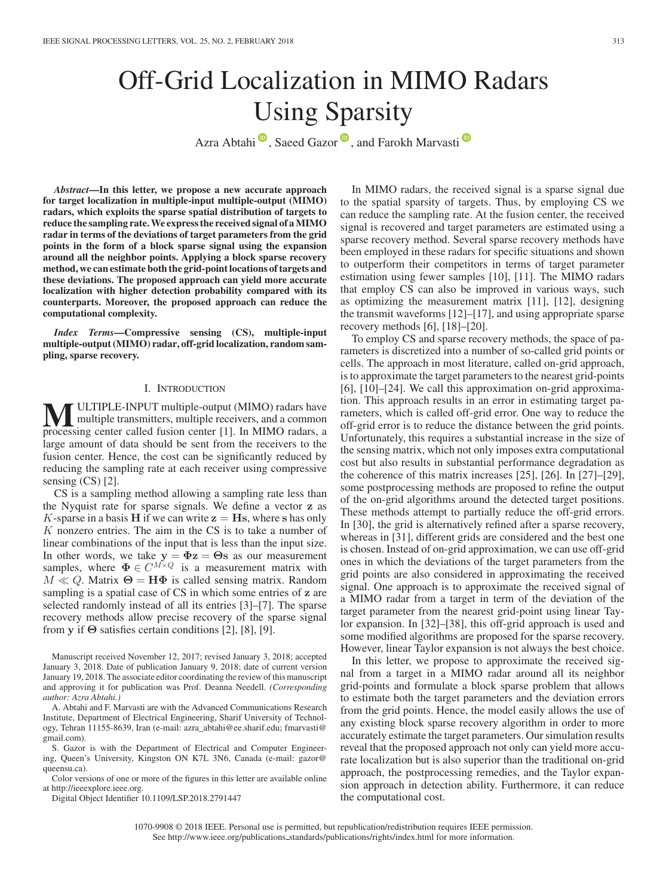# Off-Grid Localization in MIMO Radars Using Sparsity

Azra Abtahi<sup>o</sup>[,](https://orcid.org/0000-0003-4368-6682) Saeed Gazor<sup>o</sup>, and Farokh Marvasti<sup>o</sup>

*Abstract***—In this letter, we propose a new accurate approach for target localization in multiple-input multiple-output (MIMO) radars, which exploits the sparse spatial distribution of targets to reduce the sampling rate.We express the received signal of aMIMO radar in terms of the deviations of target parameters from the grid points in the form of a block sparse signal using the expansion around all the neighbor points. Applying a block sparse recovery method, we can estimate both the grid-point locations of targets and these deviations. The proposed approach can yield more accurate localization with higher detection probability compared with its counterparts. Moreover, the proposed approach can reduce the computational complexity.**

*Index Terms***—Compressive sensing (CS), multiple-input multiple-output (MIMO) radar, off-grid localization, random sampling, sparse recovery.**

### I. INTRODUCTION

**MULTIPLE-INPUT multiple-output (MIMO) radars have** multiple transmitters, multiple receivers, and a common processing center called fusion center [11] In MIMO radars a processing center called fusion center [1]. In MIMO radars, a large amount of data should be sent from the receivers to the fusion center. Hence, the cost can be significantly reduced by reducing the sampling rate at each receiver using compressive sensing (CS) [2].

CS is a sampling method allowing a sampling rate less than the Nyquist rate for sparse signals. We define a vector **z** as K-sparse in a basis **H** if we can write  $z = Hs$ , where s has only K nonzero entries. The aim in the CS is to take a number of linear combinations of the input that is less than the input size. In other words, we take  $y = \Phi z = \Theta s$  as our measurement<br>samples where  $\Phi \in C^{M \times Q}$  is a measurement matrix with samples, where  $\mathbf{\Phi} \in C^{M \times Q}$  is a measurement matrix with  $M \ll Q$  Matrix  $\Theta = H \mathbf{\Phi}$  is called sensing matrix Random  $M \ll Q$ . Matrix  $\Theta = H\Phi$  is called sensing matrix. Random sampling is a spatial case of CS in which some entries of **z** are selected randomly instead of all its entries [3]–[7]. The sparse recovery methods allow precise recovery of the sparse signal from **y** if **Θ** satisfies certain conditions [2], [8], [9].

Manuscript received November 12, 2017; revised January 3, 2018; accepted January 3, 2018. Date of publication January 9, 2018; date of current version January 19, 2018. The associate editor coordinating the review of this manuscript and approving it for publication was Prof. Deanna Needell. *(Corresponding author: Azra Abtahi.)*

A. Abtahi and F. Marvasti are with the Advanced Communications Research Institute, Department of Electrical Engineering, Sharif University of Technology, Tehran 11155-8639, Iran (e-mail: azra\_abtahi@ee.sharif.edu; fmarvasti@ gmail.com).

S. Gazor is with the Department of Electrical and Computer Engineering, Queen's University, Kingston ON K7L 3N6, Canada (e-mail: gazor@ queensu.ca).

Color versions of one or more of the figures in this letter are available online at http://ieeexplore.ieee.org.

Digital Object Identifier 10.1109/LSP.2018.2791447

In MIMO radars, the received signal is a sparse signal due to the spatial sparsity of targets. Thus, by employing CS we can reduce the sampling rate. At the fusion center, the received signal is recovered and target parameters are estimated using a sparse recovery method. Several sparse recovery methods have been employed in these radars for specific situations and shown to outperform their competitors in terms of target parameter estimation using fewer samples [10], [11]. The MIMO radars that employ CS can also be improved in various ways, such as optimizing the measurement matrix [11], [12], designing the transmit waveforms [12]–[17], and using appropriate sparse recovery methods [6], [18]–[20].

To employ CS and sparse recovery methods, the space of parameters is discretized into a number of so-called grid points or cells. The approach in most literature, called on-grid approach, is to approximate the target parameters to the nearest grid-points [6], [10]–[24]. We call this approximation on-grid approximation. This approach results in an error in estimating target parameters, which is called off-grid error. One way to reduce the off-grid error is to reduce the distance between the grid points. Unfortunately, this requires a substantial increase in the size of the sensing matrix, which not only imposes extra computational cost but also results in substantial performance degradation as the coherence of this matrix increases [25], [26]. In [27]–[29], some postprocessing methods are proposed to refine the output of the on-grid algorithms around the detected target positions. These methods attempt to partially reduce the off-grid errors. In [30], the grid is alternatively refined after a sparse recovery, whereas in [31], different grids are considered and the best one is chosen. Instead of on-grid approximation, we can use off-grid ones in which the deviations of the target parameters from the grid points are also considered in approximating the received signal. One approach is to approximate the received signal of a MIMO radar from a target in term of the deviation of the target parameter from the nearest grid-point using linear Taylor expansion. In [32]–[38], this off-grid approach is used and some modified algorithms are proposed for the sparse recovery. However, linear Taylor expansion is not always the best choice.

In this letter, we propose to approximate the received signal from a target in a MIMO radar around all its neighbor grid-points and formulate a block sparse problem that allows to estimate both the target parameters and the deviation errors from the grid points. Hence, the model easily allows the use of any existing block sparse recovery algorithm in order to more accurately estimate the target parameters. Our simulation results reveal that the proposed approach not only can yield more accurate localization but is also superior than the traditional on-grid approach, the postprocessing remedies, and the Taylor expansion approach in detection ability. Furthermore, it can reduce the computational cost.

1070-9908 © 2018 IEEE. Personal use is permitted, but republication/redistribution requires IEEE permission. See http://www.ieee.org/publications.standards/publications/rights/index.html for more information.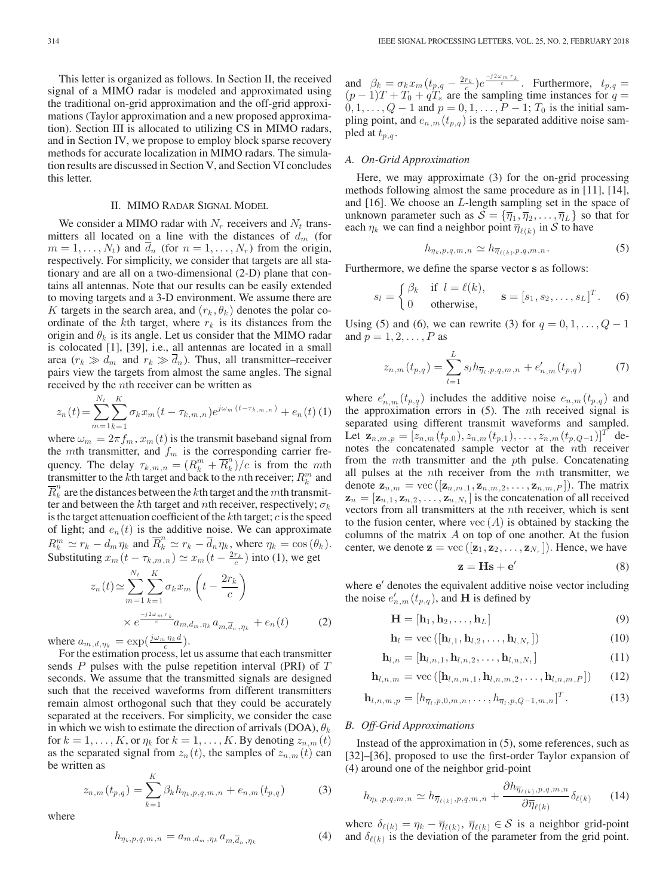This letter is organized as follows. In Section II, the received signal of a MIMO radar is modeled and approximated using the traditional on-grid approximation and the off-grid approximations (Taylor approximation and a new proposed approximation). Section III is allocated to utilizing CS in MIMO radars, and in Section IV, we propose to employ block sparse recovery methods for accurate localization in MIMO radars. The simulation results are discussed in Section V, and Section VI concludes this letter.

# II. MIMO RADAR SIGNAL MODEL

We consider a MIMO radar with  $N_r$  receivers and  $N_t$  transmitters all located on a line with the distances of  $d_m$  (for  $m = 1, \ldots, N_t$ ) and  $\overline{d}_n$  (for  $n = 1, \ldots, N_r$ ) from the origin, respectively. For simplicity, we consider that targets are all stationary and are all on a two-dimensional (2-D) plane that contains all antennas. Note that our results can be easily extended to moving targets and a 3-D environment. We assume there are K targets in the search area, and  $(r_k, \theta_k)$  denotes the polar coordinate of the kth target, where  $r_k$  is its distances from the origin and  $\theta_k$  is its angle. Let us consider that the MIMO radar is colocated [1], [39], i.e., all antennas are located in a small area  $(r_k \gg d_m$  and  $r_k \gg d_n$ ). Thus, all transmitter–receiver pairs view the targets from almost the same angles. The signal received by the nth receiver can be written as

$$
z_n(t) = \sum_{m=1}^{N_t} \sum_{k=1}^{K} \sigma_k x_m(t - \tau_{k,m,n}) e^{j\omega_m (t - \tau_{k,m,n})} + e_n(t)
$$
 (1)

where  $\omega_m = 2\pi f_m$ ,  $x_m(t)$  is the transmit baseband signal from the *mth* transmitter, and  $f_m$  is the corresponding carrier frequency. The delay  $\tau_{k,m,n} = (R_k^m + \overline{R}_k^n)/c$  is from the mth transmitter to the k<sup>th</sup> target and back to the n<sup>th</sup> receiver;  $R_k^m$  and  $\overline{R}_k^n$  are the distances between the kth target and the mth transmitter and between the kth target and nth receiver, respectively;  $\sigma_k$ is the target attenuation coefficient of the  $k$ th target;  $c$  is the speed of light; and  $e_n(t)$  is the additive noise. We can approximate  $R_k^m \simeq r_k - d_m \eta_k$  and  $\overline{R}_k^n \simeq r_k - \overline{d}_n \eta_k$ , where  $\eta_k = \cos(\theta_k)$ . Substituting  $x_m(t - \tau_{k,m,n}) \simeq x_m(t - \frac{2r_k}{c})$  into (1), we get

$$
z_n(t) \approx \sum_{m=1}^{N_t} \sum_{k=1}^{K} \sigma_k x_m \left( t - \frac{2r_k}{c} \right)
$$
  
 
$$
\times e^{\frac{-j2\omega_m r_k}{c} a_{m,d_m,\eta_k} a_{m,\overline{d}_n,\eta_k}} + e_n(t) \qquad (2)
$$

where  $a_{m,d,\eta_k} = \exp(\frac{j\omega_m \eta_k d}{c})$ .

For the estimation process, let us assume that each transmitter sends  $P$  pulses with the pulse repetition interval (PRI) of  $T$ seconds. We assume that the transmitted signals are designed such that the received waveforms from different transmitters remain almost orthogonal such that they could be accurately separated at the receivers. For simplicity, we consider the case in which we wish to estimate the direction of arrivals (DOA),  $\theta_k$ for  $k = 1, \ldots, K$ , or  $\eta_k$  for  $k = 1, \ldots, K$ . By denoting  $z_{n,m}(t)$ as the separated signal from  $z_n(t)$ , the samples of  $z_{n,m}(t)$  can be written as

$$
z_{n,m}(t_{p,q}) = \sum_{k=1}^{K} \beta_k h_{\eta_k, p, q, m, n} + e_{n,m}(t_{p,q})
$$
 (3)

where

$$
h_{\eta_k, p, q, m, n} = a_{m, d_m, \eta_k} a_{m, \overline{d}_n, \eta_k}
$$
\n<sup>(4)</sup>

and  $\beta_k = \sigma_k x_m (t_{p,q} - \frac{2r_k}{c}) e^{\frac{-j2\omega_m r_k}{c}}$ . Furthermore,  $t_{p,q} =$  $(p-1)T + T_0 + qT_s$  are the sampling time instances for  $q =$  $0, 1, \ldots, Q - 1$  and  $p = 0, 1, \ldots, P - 1$ ;  $T_0$  is the initial sampling point, and  $e_{n,m}(t_{p,q})$  is the separated additive noise sampled at  $t_{p,q}$ .

# *A. On-Grid Approximation*

Here, we may approximate (3) for the on-grid processing methods following almost the same procedure as in [11], [14], and [16]. We choose an L-length sampling set in the space of unknown parameter such as  $S = {\overline{\eta}_1, \overline{\eta}_2, ..., \overline{\eta}_L}$  so that for each  $\eta_k$  we can find a neighbor point  $\overline{\eta}_{\ell(k)}$  in S to have

$$
h_{\eta_k, p, q, m, n} \simeq h_{\overline{\eta}_{\ell(k)}, p, q, m, n}.
$$
 (5)

Furthermore, we define the sparse vector **s** as follows:

$$
s_l = \begin{cases} \beta_k & \text{if } l = \ell(k), \\ 0 & \text{otherwise,} \end{cases} \quad \mathbf{s} = [s_1, s_2, \dots, s_L]^T. \quad (6)
$$

Using (5) and (6), we can rewrite (3) for  $q = 0, 1, \ldots, Q - 1$ and  $p = 1, 2, \ldots, P$  as

$$
z_{n,m}(t_{p,q}) = \sum_{l=1}^{L} s_l h_{\overline{\eta}_l, p, q, m, n} + e'_{n,m}(t_{p,q}) \tag{7}
$$

where  $e'_{n,m}(t_{p,q})$  includes the additive noise  $e_{n,m}(t_{p,q})$  and the approximation errors in  $(5)$ . The *n*th received signal is separated using different transmit waveforms and sampled. Let  $\mathbf{z}_{n,m,p} = [z_{n,m}(t_{p,0}), z_{n,m}(t_{p,1}), \ldots, z_{n,m}(t_{p,Q-1})]^T$  denotes the concatenated sample vector at the nth receiver from the mth transmitter and the pth pulse. Concatenating all pulses at the  $n$ th receiver from the  $m$ th transmitter, we denote  $\mathbf{z}_{n,m} = \text{vec}\left([\mathbf{z}_{n,m,1}, \mathbf{z}_{n,m,2}, \dots, \mathbf{z}_{n,m,P}]\right)$ . The matrix  $\mathbf{z}_n = [\mathbf{z}_{n,1}, \mathbf{z}_{n,2}, \dots, \mathbf{z}_{n,N_t}]$  is the concatenation of all received vectors from all transmitters at the nth receiver, which is sent to the fusion center, where  $\text{vec}(A)$  is obtained by stacking the columns of the matrix  $A$  on top of one another. At the fusion center, we denote  $\mathbf{z} = \text{vec}\left([\mathbf{z}_1, \mathbf{z}_2, \dots, \mathbf{z}_{N_r}]\right)$ . Hence, we have

$$
z = Hs + e'
$$
 (8)

where  $e'$  denotes the equivalent additive noise vector including the noise  $e'_{n,m}(t_{p,q})$ , and **H** is defined by

$$
\mathbf{H} = [\mathbf{h}_1, \mathbf{h}_2, \dots, \mathbf{h}_L]
$$
 (9)

$$
\mathbf{h}_{l} = \text{vec}\left( [\mathbf{h}_{l,1}, \mathbf{h}_{l,2}, \dots, \mathbf{h}_{l,N_r}] \right) \tag{10}
$$

$$
\mathbf{h}_{l,n} = [\mathbf{h}_{l,n,1}, \mathbf{h}_{l,n,2}, \dots, \mathbf{h}_{l,n,N_t}] \tag{11}
$$

$$
\mathbf{h}_{l,n,m} = \text{vec}\left( [\mathbf{h}_{l,n,m,1}, \mathbf{h}_{l,n,m,2}, \dots, \mathbf{h}_{l,n,m,P}]\right) \tag{12}
$$

$$
\mathbf{h}_{l,n,m,p} = [h_{\overline{\eta}_l,p,0,m,n},\ldots,h_{\overline{\eta}_l,p,Q-1,m,n}]^T.
$$
 (13)

# *B. Off-Grid Approximations*

Instead of the approximation in (5), some references, such as [32]–[36], proposed to use the first-order Taylor expansion of (4) around one of the neighbor grid-point

$$
h_{\eta_k, p, q, m, n} \simeq h_{\overline{\eta}_{\ell(k)}, p, q, m, n} + \frac{\partial h_{\overline{\eta}_{\ell(k)}, p, q, m, n}}{\partial \overline{\eta}_{\ell(k)}} \delta_{\ell(k)} \qquad (14)
$$

where  $\delta_{\ell(k)} = \eta_k - \overline{\eta}_{\ell(k)}, \overline{\eta}_{\ell(k)} \in S$  is a neighbor grid-point and  $\delta_{\ell(k)}$  is the deviation of the parameter from the grid point.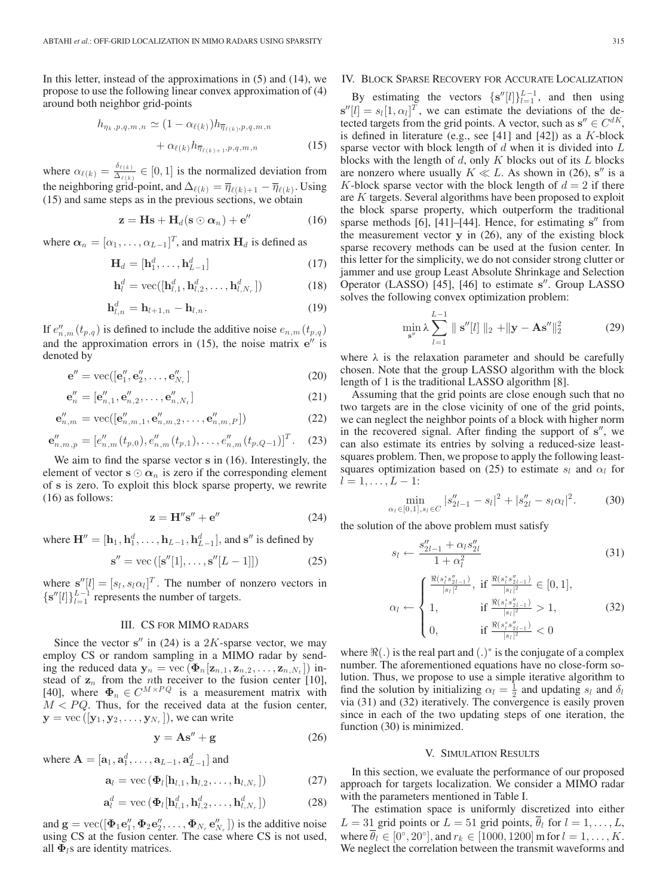In this letter, instead of the approximations in (5) and (14), we propose to use the following linear convex approximation of (4) around both neighbor grid-points

$$
h_{\eta_k, p, q, m, n} \simeq (1 - \alpha_{\ell(k)}) h_{\overline{\eta}_{\ell(k)}, p, q, m, n}
$$

$$
+ \alpha_{\ell(k)} h_{\overline{\eta}_{\ell(k)+1}, p, q, m, n} \tag{15}
$$

where  $\alpha_{\ell(k)} = \frac{\delta_{\ell(k)}}{\Delta_{\ell(k)}} \in [0, 1]$  is the normalized deviation from the neighboring grid-point, and  $\Delta_{\ell(k)} = \overline{\eta}_{\ell(k)+1} - \overline{\eta}_{\ell(k)}$ . Using (15) and same steps as in the previous sections, we obtain

$$
\mathbf{z} = \mathbf{H}\mathbf{s} + \mathbf{H}_d(\mathbf{s} \odot \boldsymbol{\alpha}_n) + \mathbf{e}''
$$
 (16)

where  $\boldsymbol{\alpha}_n = [\alpha_1, \dots, \alpha_{L-1}]^T$ , and matrix **H**<sub>d</sub> is defined as

$$
\mathbf{H}_d = [\mathbf{h}_1^d, \dots, \mathbf{h}_{L-1}^d] \tag{17}
$$

$$
\mathbf{h}_l^d = \text{vec}([\mathbf{h}_{l,1}^d, \mathbf{h}_{l,2}^d, \dots, \mathbf{h}_{l,N_r}^d])
$$
(18)

$$
\mathbf{h}_{l,n}^d = \mathbf{h}_{l+1,n} - \mathbf{h}_{l,n}.
$$
 (19)

If  $e''_{n,m}(t_{p,q})$  is defined to include the additive noise  $e_{n,m}(t_{p,q})$ and the approximation errors in  $(15)$ , the noise matrix  $e''$  is denoted by

$$
\mathbf{e}'' = \text{vec}([\mathbf{e}_1'', \mathbf{e}_2'', \dots, \mathbf{e}_{N_r}''] \tag{20}
$$

$$
\mathbf{e}_n'' = [\mathbf{e}_{n,1}'', \mathbf{e}_{n,2}'', \dots, \mathbf{e}_{n,N_t}'']
$$
(21)

$$
\mathbf{e}_{n,m}'' = \text{vec}([\mathbf{e}_{n,m,1}'', \mathbf{e}_{n,m,2}'', \dots, \mathbf{e}_{n,m,P}''])
$$
(22)

$$
\mathbf{e}_{n,m,p}'' = [e_{n,m}''(t_{p,0}), e_{n,m}''(t_{p,1}), \dots, e_{n,m}''(t_{p,Q-1})]^T. \quad (23)
$$

We aim to find the sparse vector **s** in (16). Interestingly, the element of vector  $\mathbf{s} \odot \boldsymbol{\alpha}_n$  is zero if the corresponding element of **s** is zero. To exploit this block sparse property, we rewrite (16) as follows:

$$
\mathbf{z} = \mathbf{H}^{\prime\prime} \mathbf{s}^{\prime\prime} + \mathbf{e}^{\prime\prime} \tag{24}
$$

where  $\mathbf{H}^{"} = [\mathbf{h}_1, \mathbf{h}_1^d, \dots, \mathbf{h}_{L-1}, \mathbf{h}_{L-1}^d]$ , and  $\mathbf{s}^{"}$  is defined by

$$
s'' = \text{vec}\left( [s''[1], \dots, s''[L-1]] \right) \tag{25}
$$

where  $\mathbf{s}''[l] = [s_l, s_l \alpha_l]^T$ . The number of nonzero vectors in  $[s''[l]] \cdot l^{-1}$  represents the number of tergets  $\{\mathbf s''[l]\}_{l=1}^{L-1}$  represents the number of targets.

# III. CS FOR MIMO RADARS

Since the vector  $s''$  in (24) is a 2K-sparse vector, we may employ CS or random sampling in a MIMO radar by sending the reduced data  $\mathbf{y}_n = \text{vec}\left(\mathbf{\Phi}_n[\mathbf{z}_{n,1}, \mathbf{z}_{n,2}, \dots, \mathbf{z}_{n,N_t}]\right)$  instead of  $z_n$  from the *n*th receiver to the fusion center [10],<br>[40] where  $\Phi_n \in C^{M \times PQ}$  is a measurement matrix with [40], where  $\Phi_n \in C^{M \times PQ}$  is a measurement matrix with  $M < PQ$ . Thus for the received data at the fusion center  $M < PQ$ . Thus, for the received data at the fusion center,  $\mathbf{y} = \text{vec}\left([\mathbf{y}_1, \mathbf{y}_2, \dots, \mathbf{y}_{N_r}]\right)$ , we can write

$$
y = As'' + g \tag{26}
$$

where 
$$
\mathbf{A} = [\mathbf{a}_1, \mathbf{a}_1^d, \dots, \mathbf{a}_{L-1}, \mathbf{a}_{L-1}^d]
$$
 and

$$
\mathbf{a}_{l} = \text{vec}\left(\mathbf{\Phi}_{l}[\mathbf{h}_{l,1}, \mathbf{h}_{l,2}, \ldots, \mathbf{h}_{l,N_{r}}]\right) \tag{27}
$$

$$
\mathbf{a}_l^d = \text{vec}\left(\mathbf{\Phi}_l[\mathbf{h}_{l,1}^d, \mathbf{h}_{l,2}^d, \dots, \mathbf{h}_{l,N_r}^d]\right) \tag{28}
$$

and  $\mathbf{g} = \text{vec}([\mathbf{\Phi}_1 \mathbf{e}_1'', \mathbf{\Phi}_2 \mathbf{e}_2'', \dots, \mathbf{\Phi}_{N_r} \mathbf{e}_{N_r}''])$  is the additive noise<br>using CS at the fusion center. The case where CS is not used using CS at the fusion center. The case where CS is not used, all  $\Phi$ <sub>l</sub>s are identity matrices.

# IV. BLOCK SPARSE RECOVERY FOR ACCURATE LOCALIZATION

By estimating the vectors  $\{s''[l]\}_{l=1}^{L-1}$ , and then using  $[l] = c_1[1-c_2]$  we can estimate the deviations of the de- $\mathbf{s}''[l] = s_l[1, \alpha_l]^T$ , we can estimate the deviations of the de-<br>tected targets from the grid points. A vector such as  $\mathbf{s}'' \in C^{dK}$ tected targets from the grid points. A vector, such as  $s'' \in C^{dK}$ , is defined in literature (e.g., see [41] and [42]) as a K-block sparse vector with block length of  $d$  when it is divided into  $L$ blocks with the length of  $d$ , only  $K$  blocks out of its  $L$  blocks are nonzero where usually  $K \ll L$ . As shown in (26),  $s''$  is a K-block sparse vector with the block length of  $d = 2$  if there are  $K$  targets. Several algorithms have been proposed to exploit the block sparse property, which outperform the traditional sparse methods [6], [41]–[44]. Hence, for estimating s<sup>"</sup> from the measurement vector **y** in (26), any of the existing block sparse recovery methods can be used at the fusion center. In this letter for the simplicity, we do not consider strong clutter or jammer and use group Least Absolute Shrinkage and Selection Operator (LASSO) [45], [46] to estimate s<sup>"</sup>. Group LASSO solves the following convex optimization problem:

$$
\min_{\mathbf{s}''}\lambda \sum_{l=1}^{L-1} \| \mathbf{s}''[l] \|_2 + \| \mathbf{y} - \mathbf{A}\mathbf{s}'' \|_2^2 \tag{29}
$$

where  $\lambda$  is the relaxation parameter and should be carefully chosen. Note that the group LASSO algorithm with the block length of 1 is the traditional LASSO algorithm [8].

Assuming that the grid points are close enough such that no two targets are in the close vicinity of one of the grid points, we can neglect the neighbor points of a block with higher norm in the recovered signal. After finding the support of  $s''$ , we can also estimate its entries by solving a reduced-size leastsquares problem. Then, we propose to apply the following leastsquares optimization based on (25) to estimate  $s_l$  and  $\alpha_l$  for  $l = 1, \ldots, L - 1$ :

$$
\min_{\alpha_l \in [0,1], s_l \in C} |s''_{2l-1} - s_l|^2 + |s''_{2l} - s_l \alpha_l|^2. \tag{30}
$$

the solution of the above problem must satisfy

$$
s_l \leftarrow \frac{s_{2l-1}'' + \alpha_l s_{2l}''}{1 + \alpha_l^2} \tag{31}
$$

$$
\alpha_{l} \leftarrow \begin{cases} \frac{\Re(s_{l}^{*} s_{2l-1}^{\prime})}{|s_{l}|^{2}}, \text{ if } \frac{\Re(s_{l}^{*} s_{2l-1}^{\prime})}{|s_{l}|^{2}} \in [0,1],\\ 1, \text{ if } \frac{\Re(s_{l}^{*} s_{2l-1}^{\prime})}{|s_{l}|^{2}} > 1,\\ 0, \text{ if } \frac{\Re(s_{l}^{*} s_{2l-1}^{\prime})}{|s_{l}|^{2}} < 0 \end{cases} \tag{32}
$$

where  $\Re(.)$  is the real part and  $(.)^*$  is the conjugate of a complex number. The aforementioned equations have no close-form solution. Thus, we propose to use a simple iterative algorithm to find the solution by initializing  $\alpha_l = \frac{1}{2}$  and updating  $s_l$  and  $\delta_l$ via (31) and (32) iteratively. The convergence is easily proven since in each of the two updating steps of one iteration, the function (30) is minimized.

# V. SIMULATION RESULTS

In this section, we evaluate the performance of our proposed approach for targets localization. We consider a MIMO radar with the parameters mentioned in Table I.

The estimation space is uniformly discretized into either  $L = 31$  grid points or  $L = 51$  grid points,  $\overline{\theta}_l$  for  $l = 1, \ldots, L$ , where  $\overline{\theta}_l \in [0^\circ, 20^\circ]$ , and  $r_k \in [1000, 1200]$  m for  $l = 1, \ldots, K$ . We neglect the correlation between the transmit waveforms and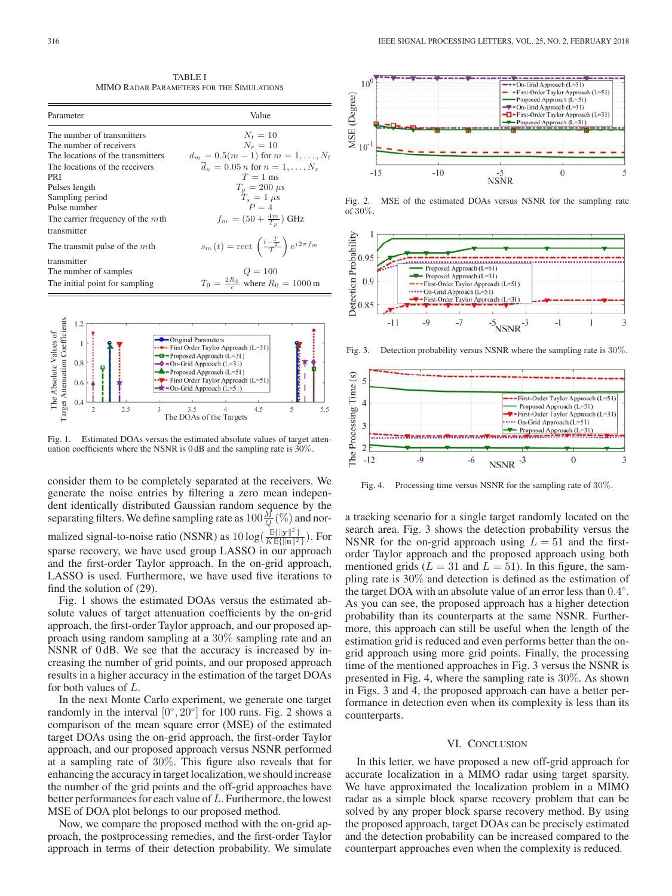TABLE I MIMO RADAR PARAMETERS FOR THE SIMULATIONS

| Parameter                           | Value                                                                   |
|-------------------------------------|-------------------------------------------------------------------------|
| The number of transmitters          | $N_t = 10$                                                              |
| The number of receivers             | $N_r = 10$                                                              |
| The locations of the transmitters   | $d_m = 0.5(m-1)$ for $m = 1, , N_t$                                     |
| The locations of the receivers      | $\bar{d}_n = 0.05 n$ for $n = 1, , N_r$                                 |
| PRI                                 | $T = 1$ ms                                                              |
| Pulses length                       | $T_n = 200 \,\mu s$                                                     |
| Sampling period                     | $T_s = 1 \mu s$                                                         |
| Pulse number                        | $P = 4$                                                                 |
| The carrier frequency of the $m$ th | $f_m = (50 + \frac{4m}{T_n})$ GHz                                       |
| transmitter                         |                                                                         |
| The transmit pulse of the $m$ th    | $s_m(t) = \text{rect}\left(\frac{t-\frac{T}{2}}{T}\right)e^{j2\pi f_m}$ |
| transmitter                         |                                                                         |
| The number of samples               | $Q = 100$                                                               |
| The initial point for sampling      | $T_0 = \frac{2R_0}{c}$ where $R_0 = 1000$ m                             |



Fig. 1. Estimated DOAs versus the estimated absolute values of target attenuation coefficients where the NSNR is 0 dB and the sampling rate is 30%.

consider them to be completely separated at the receivers. We generate the noise entries by filtering a zero mean independent identically distributed Gaussian random sequence by the separating filters. We define sampling rate as  $100 \frac{M}{Q}$  (%) and normalized signal-to-noise ratio (NSNR) as  $10 \log(\frac{E\{\Vert \mathbf{y} \Vert^2\}}{KE\{\Vert \mathbf{n} \Vert^2\}})$ . For sparse recovery, we have used group LASSO in our approach and the first-order Taylor approach. In the on-grid approach, LASSO is used. Furthermore, we have used five iterations to

Fig. 1 shows the estimated DOAs versus the estimated absolute values of target attenuation coefficients by the on-grid approach, the first-order Taylor approach, and our proposed approach using random sampling at a 30% sampling rate and an NSNR of 0 dB. We see that the accuracy is increased by increasing the number of grid points, and our proposed approach results in a higher accuracy in the estimation of the target DOAs for both values of L.

find the solution of (29).

In the next Monte Carlo experiment, we generate one target randomly in the interval  $[0^\circ, 20^\circ]$  for 100 runs. Fig. 2 shows a comparison of the mean square error (MSE) of the estimated target DOAs using the on-grid approach, the first-order Taylor approach, and our proposed approach versus NSNR performed at a sampling rate of 30%. This figure also reveals that for enhancing the accuracy in target localization, we should increase the number of the grid points and the off-grid approaches have better performances for each value of  $L$ . Furthermore, the lowest MSE of DOA plot belongs to our proposed method.

Now, we compare the proposed method with the on-grid approach, the postprocessing remedies, and the first-order Taylor approach in terms of their detection probability. We simulate



Fig. 2. MSE of the estimated DOAs versus NSNR for the sampling rate of 30%.



Fig. 3. Detection probability versus NSNR where the sampling rate is 30%.



Fig. 4. Processing time versus NSNR for the sampling rate of 30%.

a tracking scenario for a single target randomly located on the search area. Fig. 3 shows the detection probability versus the NSNR for the on-grid approach using  $L = 51$  and the firstorder Taylor approach and the proposed approach using both mentioned grids ( $L = 31$  and  $L = 51$ ). In this figure, the sampling rate is 30% and detection is defined as the estimation of the target DOA with an absolute value of an error less than 0.4◦. As you can see, the proposed approach has a higher detection probability than its counterparts at the same NSNR. Furthermore, this approach can still be useful when the length of the estimation grid is reduced and even performs better than the ongrid approach using more grid points. Finally, the processing time of the mentioned approaches in Fig. 3 versus the NSNR is presented in Fig. 4, where the sampling rate is 30%. As shown in Figs. 3 and 4, the proposed approach can have a better performance in detection even when its complexity is less than its counterparts.

### VI. CONCLUSION

In this letter, we have proposed a new off-grid approach for accurate localization in a MIMO radar using target sparsity. We have approximated the localization problem in a MIMO radar as a simple block sparse recovery problem that can be solved by any proper block sparse recovery method. By using the proposed approach, target DOAs can be precisely estimated and the detection probability can be increased compared to the counterpart approaches even when the complexity is reduced.